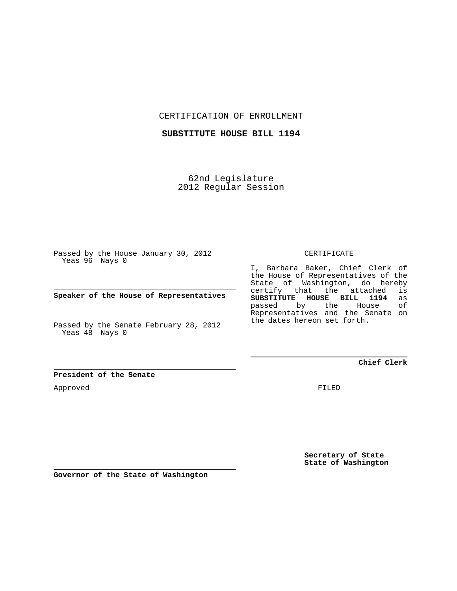CERTIFICATION OF ENROLLMENT

**SUBSTITUTE HOUSE BILL 1194**

62nd Legislature 2012 Regular Session

Passed by the House January 30, 2012 Yeas 96 Nays 0

**Speaker of the House of Representatives**

Passed by the Senate February 28, 2012 Yeas 48 Nays 0

**President of the Senate**

Approved

CERTIFICATE

I, Barbara Baker, Chief Clerk of the House of Representatives of the State of Washington, do hereby certify that the attached is<br>SUBSTITUTE HOUSE BILL 1194 as **SUBSTITUTE HOUSE BILL 1194** as passed by the Representatives and the Senate on the dates hereon set forth.

**Chief Clerk**

FILED

**Secretary of State State of Washington**

**Governor of the State of Washington**